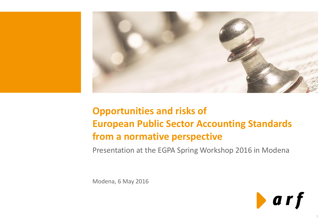

# **Opportunities and risks of European Public Sector Accounting Standards from a normative perspective**

Presentation at the EGPA Spring Workshop 2016 in Modena

Modena, 6 May 2016



1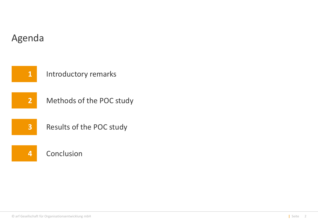

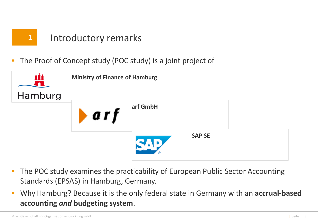

### Introductory remarks

The Proof of Concept study (POC study) is a joint project of



- The POC study examines the practicability of European Public Sector Accounting Standards (EPSAS) in Hamburg, Germany.
- Why Hamburg? Because it is the only federal state in Germany with an **accrual-based accounting** *and* **budgeting system**.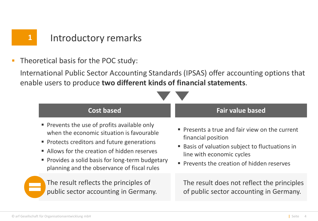Theoretical basis for the POC study:

International Public Sector Accounting Standards (IPSAS) offer accounting options that enable users to produce **two different kinds of financial statements**.

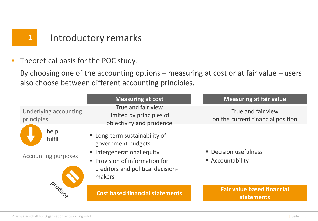**Theoretical basis for the POC study:** 

By choosing one of the accounting options – measuring at cost or at fair value – users also choose between different accounting principles.

|                                              | <b>Measuring at cost</b>                                                                                                                                         | <b>Measuring at fair value</b>                          |
|----------------------------------------------|------------------------------------------------------------------------------------------------------------------------------------------------------------------|---------------------------------------------------------|
| Underlying accounting<br>principles          | True and fair view<br>limited by principles of<br>objectivity and prudence                                                                                       | True and fair view<br>on the current financial position |
| help<br>fulfil<br><b>Accounting purposes</b> | " Long-term sustainability of<br>government budgets<br>Intergenerational equity<br>• Provision of information for<br>creditors and political decision-<br>makers | • Decision usefulness<br>■ Accountability               |
| Droduce                                      | <b>Cost based financial statements</b>                                                                                                                           | <b>Fair value based financial</b><br><b>statements</b>  |
|                                              |                                                                                                                                                                  |                                                         |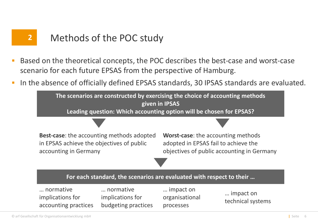## **2** Methods of the POC study

- Based on the theoretical concepts, the POC describes the best-case and worst-case scenario for each future EPSAS from the perspective of Hamburg.
- In the absence of officially defined EPSAS standards, 30 IPSAS standards are evaluated.

**The scenarios are constructed by exercising the choice of accounting methods given in IPSAS Leading question: Which accounting option will be chosen for EPSAS?**

**Best-case**: the accounting methods adopted in EPSAS achieve the objectives of public accounting in Germany

**Worst-case**: the accounting methods adopted in EPSAS fail to achieve the objectives of public accounting in Germany



… normative implications for accounting practices … normative implications for budgeting practices … impact on organisational processes

… impact on technical systems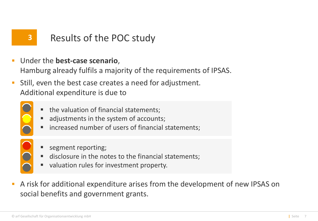## **3** Results of the POC study

- Under the **best-case scenario**, Hamburg already fulfils a majority of the requirements of IPSAS.
- Still, even the best case creates a need for adjustment. Additional expenditure is due to
	- the valuation of financial statements;
	- adjustments in the system of accounts;
	- increased number of users of financial statements;
	-
- segment reporting;
- disclosure in the notes to the financial statements;
- valuation rules for investment property.
- A risk for additional expenditure arises from the development of new IPSAS on social benefits and government grants.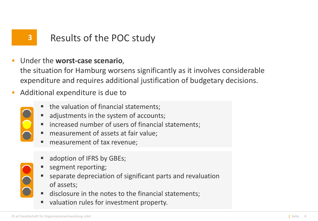## **3** Results of the POC study

- Under the **worst-case scenario**, the situation for Hamburg worsens significantly as it involves considerable expenditure and requires additional justification of budgetary decisions.
- Additional expenditure is due to
	- the valuation of financial statements;
	- adjustments in the system of accounts;
	- increased number of users of financial statements;
	- **measurement of assets at fair value;**
	- measurement of tax revenue;
	- adoption of IFRS by GBEs;
	- segment reporting;
	- separate depreciation of significant parts and revaluation of assets;
	- disclosure in the notes to the financial statements;
	- valuation rules for investment property.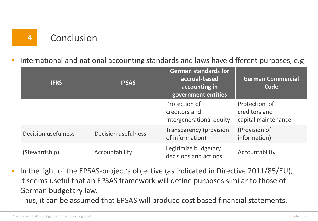

#### International and national accounting standards and laws have different purposes, e.g.

| <b>IFRS</b>                | <b>IPSAS</b>               | <b>German standards for</b><br>accrual-based<br>accounting in<br>government entities | <b>German Commercial</b><br>Code                      |
|----------------------------|----------------------------|--------------------------------------------------------------------------------------|-------------------------------------------------------|
|                            |                            | Protection of<br>creditors and<br>intergenerational equity                           | Protection of<br>creditors and<br>capital maintenance |
| <b>Decision usefulness</b> | <b>Decision usefulness</b> | Transparency (provision<br>of information)                                           | (Provision of<br>information)                         |
| (Stewardship)              | Accountability             | Legitimize budgetary<br>decisions and actions                                        | Accountability                                        |

 In the light of the EPSAS-project's objective (as indicated in Directive 2011/85/EU), it seems useful that an EPSAS framework will define purposes similar to those of German budgetary law. Thus, it can be assumed that EPSAS will produce cost based financial statements.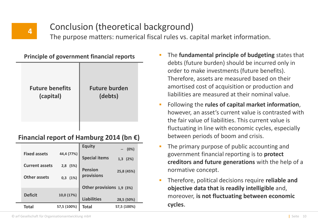## **4**

### Conclusion (theoretical background)

The purpose matters: numerical fiscal rules vs. capital market information.

| Principle of government miancial reports |                                 |  |  |  |
|------------------------------------------|---------------------------------|--|--|--|
| <b>Future benefits</b><br>(capital)      | <b>Future burden</b><br>(debts) |  |  |  |
|                                          |                                 |  |  |  |

**Principle of government financial reports**

#### **Financial report of Hamburg 2014 (bn €)**

|                       |              | <b>Equity</b>                | (0%)         |
|-----------------------|--------------|------------------------------|--------------|
| <b>Fixed assets</b>   | 44,4 (77%)   | <b>Special items</b>         | $1,3$ $(2%)$ |
| <b>Current assets</b> | 2,8 (5%)     |                              |              |
| <b>Other assets</b>   | $0,3$ $(1%)$ | <b>Pension</b><br>provisions | 25,8 (45%)   |
|                       |              |                              |              |
| <b>Deficit</b>        | 10,0 (17%)   | Other provisions 1,9 (3%)    |              |
|                       |              | <b>Liabilities</b>           | 28,5 (50%)   |
| <b>Total</b>          | 57,5 (100%)  | Total                        | 57,5 (100%)  |

- The **fundamental principle of budgeting** states that debts (future burden) should be incurred only in order to make investments (future benefits). Therefore, assets are measured based on their amortised cost of acquisition or production and liabilities are measured at their nominal value.
- Following the **rules of capital market information**, however, an asset's current value is contrasted with the fair value of liabilities. This current value is fluctuating in line with economic cycles, especially between periods of boom and crisis.
- **The primary purpose of public accounting and** government financial reporting is to **protect creditors and future generations** with the help of a normative concept.
- Therefore, political decisions require **reliable and objective data that is readily intelligible** and, moreover, **is not fluctuating between economic cycles**.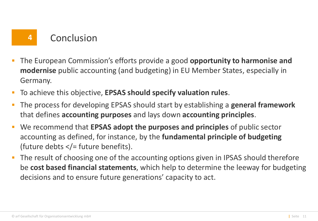## **4** Conclusion

- The European Commission's efforts provide a good **opportunity to harmonise and modernise** public accounting (and budgeting) in EU Member States, especially in Germany.
- To achieve this objective, **EPSAS should specify valuation rules**.
- The process for developing EPSAS should start by establishing a **general framework** that defines **accounting purposes** and lays down **accounting principles**.
- We recommend that **EPSAS adopt the purposes and principles** of public sector accounting as defined, for instance, by the **fundamental principle of budgeting** (future debts </= future benefits).
- The result of choosing one of the accounting options given in IPSAS should therefore be **cost based financial statements**, which help to determine the leeway for budgeting decisions and to ensure future generations' capacity to act.